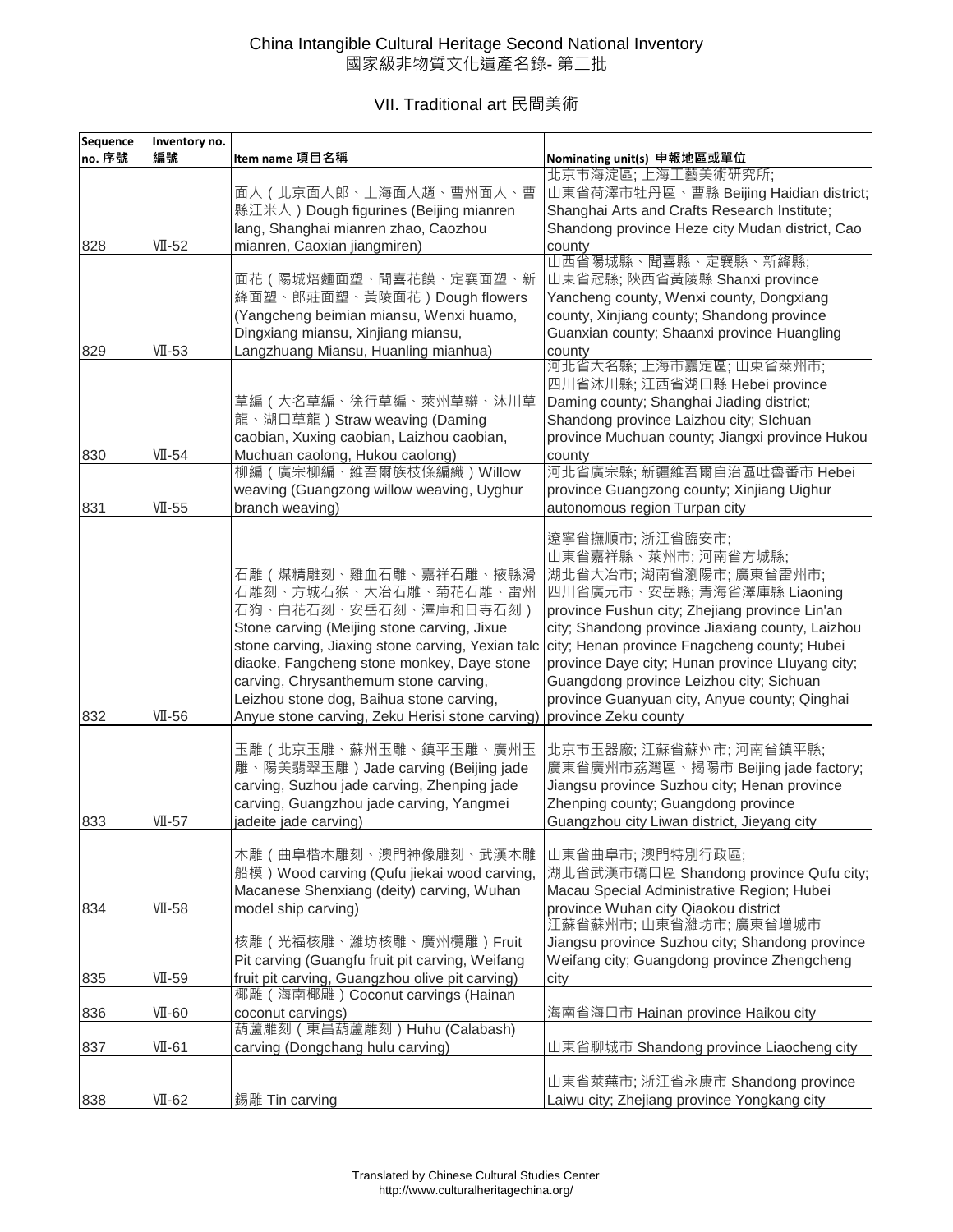## China Intangible Cultural Heritage Second National Inventory 國家級非物質文化遺產名錄- 第二批

VII. Traditional art 民間美術

| Sequence | Inventory no. |                                                                                                                                                                                                                                                                                                                                                                                        |                                                                                                                                                                                                                                                                                                                                                                                                     |
|----------|---------------|----------------------------------------------------------------------------------------------------------------------------------------------------------------------------------------------------------------------------------------------------------------------------------------------------------------------------------------------------------------------------------------|-----------------------------------------------------------------------------------------------------------------------------------------------------------------------------------------------------------------------------------------------------------------------------------------------------------------------------------------------------------------------------------------------------|
| no. 序號   | 編號            | Item name 項目名稱                                                                                                                                                                                                                                                                                                                                                                         | Nominating unit(s) 申報地區或單位                                                                                                                                                                                                                                                                                                                                                                          |
|          |               | 面人 ( 北京面人郎、上海面人趟、曹州面人、曹<br>縣江米人) Dough figurines (Beijing mianren<br>lang, Shanghai mianren zhao, Caozhou                                                                                                                                                                                                                                                                              | 北京市海淀區;上海工藝美術研究所;<br>山東省荷澤市牡丹區、曹縣 Beijing Haidian district;<br>Shanghai Arts and Crafts Research Institute;<br>Shandong province Heze city Mudan district, Cao                                                                                                                                                                                                                                      |
| 828      | $VI - 52$     | mianren, Caoxian jiangmiren)                                                                                                                                                                                                                                                                                                                                                           | county<br>山西省陽城縣、聞喜縣、定襄縣、新絳縣;                                                                                                                                                                                                                                                                                                                                                                       |
| 829      | $VI - 53$     | 面花(陽城焙麵面塑、聞喜花饃、定襄面塑、新<br>絳面塑、郎莊面塑、黃陵面花) Dough flowers<br>(Yangcheng beimian miansu, Wenxi huamo,<br>Dingxiang miansu, Xinjiang miansu,<br>Langzhuang Miansu, Huanling mianhua)                                                                                                                                                                                                         | 山東省冠縣; 陝西省黃陵縣 Shanxi province<br>Yancheng county, Wenxi county, Dongxiang<br>county, Xinjiang county; Shandong province<br>Guanxian county; Shaanxi province Huangling<br>county                                                                                                                                                                                                                    |
| 830      | VII-54        | 草編 ( 大名草編、徐行草編、萊州草辮、沐川草<br>龍、湖口草龍)Straw weaving (Daming<br>caobian, Xuxing caobian, Laizhou caobian,<br>Muchuan caolong, Hukou caolong)                                                                                                                                                                                                                                                | 河北省大名縣; 上海市嘉定區; 山東省萊州市;<br>四川省沐川縣; 江西省湖口縣 Hebei province<br>Daming county; Shanghai Jiading district;<br>Shandong province Laizhou city; Slchuan<br>province Muchuan county; Jiangxi province Hukou<br>county                                                                                                                                                                                       |
| 831      | $VI - 55$     | 柳編 (廣宗柳編、維吾爾族枝條編織) Willow<br>weaving (Guangzong willow weaving, Uyghur<br>branch weaving)                                                                                                                                                                                                                                                                                              | 河北省廣宗縣; 新疆維吾爾自治區吐魯番市 Hebei<br>province Guangzong county; Xinjiang Uighur<br>autonomous region Turpan city                                                                                                                                                                                                                                                                                           |
| 832      | $VI - 56$     | 石雕(煤精雕刻、雞血石雕、嘉祥石雕、掖縣滑<br>石雕刻、方城石猴、大冶石雕、菊花石雕、雷州<br>石狗、白花石刻、安岳石刻、澤庫和日寺石刻)<br>Stone carving (Meijing stone carving, Jixue<br>stone carving, Jiaxing stone carving, Yexian talc<br>diaoke, Fangcheng stone monkey, Daye stone<br>carving, Chrysanthemum stone carving,<br>Leizhou stone dog, Baihua stone carving,<br>Anyue stone carving, Zeku Herisi stone carving) province Zeku county | 遼寧省撫順市;浙江省臨安市;<br>山東省嘉祥縣、萊州市;河南省方城縣;<br>湖北省大冶市;湖南省瀏陽市;廣東省雷州市;<br>四川省廣元市、安岳縣; 青海省澤庫縣 Liaoning<br>province Fushun city; Zhejiang province Lin'an<br>city; Shandong province Jiaxiang county, Laizhou<br>city; Henan province Fnagcheng county; Hubei<br>province Daye city; Hunan province Lluyang city;<br>Guangdong province Leizhou city; Sichuan<br>province Guanyuan city, Anyue county; Qinghai |
| 833      | VII-57        | 玉雕(北京玉雕、蘇州玉雕、鎮平玉雕、廣州玉<br>雕、陽美翡翠玉雕)Jade carving (Beijing jade<br>carving, Suzhou jade carving, Zhenping jade<br>carving, Guangzhou jade carving, Yangmei<br>jadeite jade carving)                                                                                                                                                                                                       | 北京市玉器廠; 江蘇省蘇州市; 河南省鎮平縣;<br>廣東省廣州市荔灣區、揭陽市 Beijing jade factory;<br>Jiangsu province Suzhou city; Henan province<br>Zhenping county; Guangdong province<br>Guangzhou city Liwan district, Jieyang city                                                                                                                                                                                                |
| 834      | $VI - 58$     | 木雕 ( 曲阜楷木雕刻、澳門神像雕刻、武漢木雕<br>船模) Wood carving (Qufu jiekai wood carving,<br>Macanese Shenxiang (deity) carving, Wuhan<br>model ship carving)                                                                                                                                                                                                                                             | 山東省曲阜市;澳門特別行政區;<br>湖北省武漢市礄口區 Shandong province Qufu city;<br>Macau Special Administrative Region; Hubei<br>province Wuhan city Qiaokou district                                                                                                                                                                                                                                                     |
| 835      | $VI-59$       | 核雕 (光福核雕、濰坊核雕、廣州欖雕) Fruit<br>Pit carving (Guangfu fruit pit carving, Weifang<br>fruit pit carving, Guangzhou olive pit carving)<br>椰雕 (海南椰雕) Coconut carvings (Hainan                                                                                                                                                                                                                  | 江蘇省蘇州市;山東省濰坊市;廣東省增城市<br>Jiangsu province Suzhou city; Shandong province<br>Weifang city; Guangdong province Zhengcheng<br>city                                                                                                                                                                                                                                                                      |
| 836      | $VI-60$       |                                                                                                                                                                                                                                                                                                                                                                                        | 海南省海口市 Hainan province Haikou city                                                                                                                                                                                                                                                                                                                                                                  |
| 837      | $VI-61$       | <u>coconut carvings)</u><br>葫蘆雕刻(東昌葫蘆雕刻)Huhu (Calabash)<br>carving (Dongchang hulu carving)                                                                                                                                                                                                                                                                                            | 山東省聊城市 Shandong province Liaocheng city                                                                                                                                                                                                                                                                                                                                                             |
| 838      | $VI-62$       | 錫雕 Tin carving                                                                                                                                                                                                                                                                                                                                                                         | 山東省萊蕪市; 浙江省永康市 Shandong province<br>Laiwu city; Zhejiang province Yongkang city                                                                                                                                                                                                                                                                                                                     |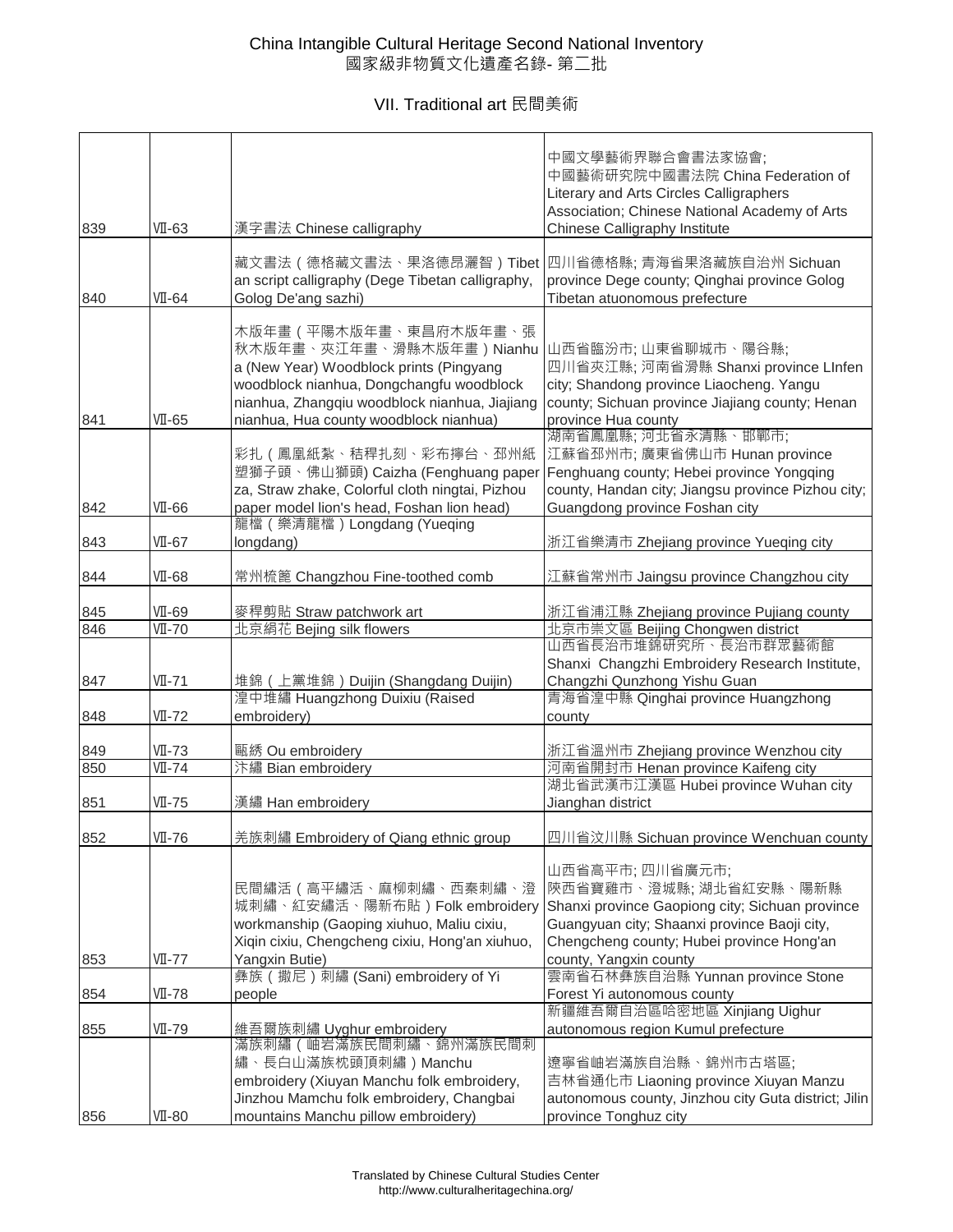VII. Traditional art 民間美術

| 839 | $VI-63$                     | 漢字書法 Chinese calligraphy                                                                                                                                                                                                                                 | 中國文學藝術界聯合會書法家協會;<br>中國藝術研究院中國書法院 China Federation of<br>Literary and Arts Circles Calligraphers<br>Association; Chinese National Academy of Arts<br>Chinese Calligraphy Institute                                                                                  |
|-----|-----------------------------|----------------------------------------------------------------------------------------------------------------------------------------------------------------------------------------------------------------------------------------------------------|--------------------------------------------------------------------------------------------------------------------------------------------------------------------------------------------------------------------------------------------------------------------|
| 840 | $VI-64$                     | 藏文書法 ( 德格藏文書法、果洛德昂灑智 ) Tibet  四川省德格縣; 青海省果洛藏族自治州 Sichuan<br>an script calligraphy (Dege Tibetan calligraphy,<br>Golog De'ang sazhi)                                                                                                                      | province Dege county; Qinghai province Golog<br>Tibetan atuonomous prefecture                                                                                                                                                                                      |
| 841 | $VI-65$                     | 木版年畫(平陽木版年畫、東昌府木版年畫、張<br>秋木版年畫、夾江年畫、滑縣木版年畫)Nianhu  山西省臨汾市; 山東省聊城市、陽谷縣;<br>a (New Year) Woodblock prints (Pingyang<br>woodblock nianhua, Dongchangfu woodblock<br>nianhua, Zhangqiu woodblock nianhua, Jiajiang<br>nianhua, Hua county woodblock nianhua) | 四川省夾江縣; 河南省滑縣 Shanxi province LInfen<br>city; Shandong province Liaocheng. Yangu<br>county; Sichuan province Jiajiang county; Henan<br>province Hua county                                                                                                         |
| 842 | $VI-66$                     | 彩扎 (鳳凰紙紮、秸稈扎刻、彩布擰台、邳州紙<br>塑獅子頭、佛山獅頭) Caizha (Fenghuang paper<br>za, Straw zhake, Colorful cloth ningtai, Pizhou<br>paper model lion's head, Foshan lion head)                                                                                            | 湖南省鳳凰縣;河北省永清縣、邯鄲市;<br>江蘇省邳州市; 廣東省佛山市 Hunan province<br>Fenghuang county; Hebei province Yongqing<br>county, Handan city; Jiangsu province Pizhou city;<br>Guangdong province Foshan city                                                                           |
| 843 | $VI-67$                     | 龍檔 (樂清龍檔) Longdang (Yueqing<br>longdang)                                                                                                                                                                                                                 | 浙江省樂清市 Zhejiang province Yueqing city                                                                                                                                                                                                                              |
| 844 | $VI-68$                     | 常州梳篦 Changzhou Fine-toothed comb                                                                                                                                                                                                                         | 江蘇省常州市 Jaingsu province Changzhou city                                                                                                                                                                                                                             |
| 845 | VII-69                      | 麥稈剪貼 Straw patchwork art                                                                                                                                                                                                                                 | 浙江省浦江縣 Zhejiang province Pujiang county                                                                                                                                                                                                                            |
| 846 | $\overline{VI - 70}$        | 北京絹花 Bejing silk flowers                                                                                                                                                                                                                                 | 北京市崇文區 Beijing Chongwen district                                                                                                                                                                                                                                   |
|     |                             |                                                                                                                                                                                                                                                          | 山西省長治市堆錦研究所、長治市群眾藝術館                                                                                                                                                                                                                                               |
|     |                             |                                                                                                                                                                                                                                                          | Shanxi Changzhi Embroidery Research Institute,                                                                                                                                                                                                                     |
| 847 | $VI - 71$                   | 堆錦 (上黨堆錦) Duijin (Shangdang Duijin)                                                                                                                                                                                                                      | Changzhi Qunzhong Yishu Guan                                                                                                                                                                                                                                       |
|     |                             | 湟中堆繡 Huangzhong Duixiu (Raised                                                                                                                                                                                                                           | 青海省湟中縣 Qinghai province Huangzhong                                                                                                                                                                                                                                 |
| 848 | VII-72                      | embroidery)                                                                                                                                                                                                                                              | county                                                                                                                                                                                                                                                             |
| 849 | $VII - 73$                  | 甌綉 Ou embroidery                                                                                                                                                                                                                                         | 浙江省溫州市 Zhejiang province Wenzhou city                                                                                                                                                                                                                              |
| 850 | $\overline{\text{VI} - 74}$ | 汴繡 Bian embroidery                                                                                                                                                                                                                                       | 河南省開封市 Henan province Kaifeng city                                                                                                                                                                                                                                 |
|     |                             |                                                                                                                                                                                                                                                          | 湖北省武漢市江漢區 Hubei province Wuhan city                                                                                                                                                                                                                                |
| 851 | $VI - 75$                   | 漢繡 Han embroidery                                                                                                                                                                                                                                        | Jianghan district                                                                                                                                                                                                                                                  |
|     | VII-76                      |                                                                                                                                                                                                                                                          |                                                                                                                                                                                                                                                                    |
| 852 | VII-77                      | 羌族刺繡 Embroidery of Qiang ethnic group<br>民間繡活 ( 高平繡活、麻柳刺繡、西秦刺繡、澄<br>workmanship (Gaoping xiuhuo, Maliu cixiu,<br>Xiqin cixiu, Chengcheng cixiu, Hong'an xiuhuo,<br>Yangxin Butie)                                                                        | 四川省汶川縣 Sichuan province Wenchuan county<br>山西省高平市;四川省廣元市;<br> 陝西省寶雞市、澄城縣; 湖北省紅安縣、陽新縣<br>城刺繡、紅安繡活、陽新布貼)Folk embroidery Shanxi province Gaopiong city; Sichuan province<br>Guangyuan city; Shaanxi province Baoji city,<br>Chengcheng county; Hubei province Hong'an |
| 853 |                             | 彝族 (撒尼) 刺繡 (Sani) embroidery of Yi                                                                                                                                                                                                                       | county, Yangxin county<br>雲南省石林彝族自治縣 Yunnan province Stone                                                                                                                                                                                                         |
| 854 | $VI - 78$                   | people                                                                                                                                                                                                                                                   | Forest Yi autonomous county                                                                                                                                                                                                                                        |
| 855 | VII-79                      | 維吾爾族刺繡 Uyghur embroidery                                                                                                                                                                                                                                 | 新疆維吾爾自治區哈密地區 Xinjiang Uighur<br>autonomous region Kumul prefecture                                                                                                                                                                                                 |
|     |                             | 滿族刺繡(岫岩滿族民間刺繡、錦州滿族民間刺                                                                                                                                                                                                                                    |                                                                                                                                                                                                                                                                    |
|     |                             | 繡、長白山滿族枕頭頂刺繡)Manchu                                                                                                                                                                                                                                      | 遼寧省岫岩滿族自治縣、錦州市古塔區;                                                                                                                                                                                                                                                 |
|     |                             | embroidery (Xiuyan Manchu folk embroidery,                                                                                                                                                                                                               | 吉林省通化市 Liaoning province Xiuyan Manzu                                                                                                                                                                                                                              |
|     |                             | Jinzhou Mamchu folk embroidery, Changbai                                                                                                                                                                                                                 | autonomous county, Jinzhou city Guta district; Jilin                                                                                                                                                                                                               |
| 856 | $VI-80$                     | mountains Manchu pillow embroidery)                                                                                                                                                                                                                      | province Tonghuz city                                                                                                                                                                                                                                              |